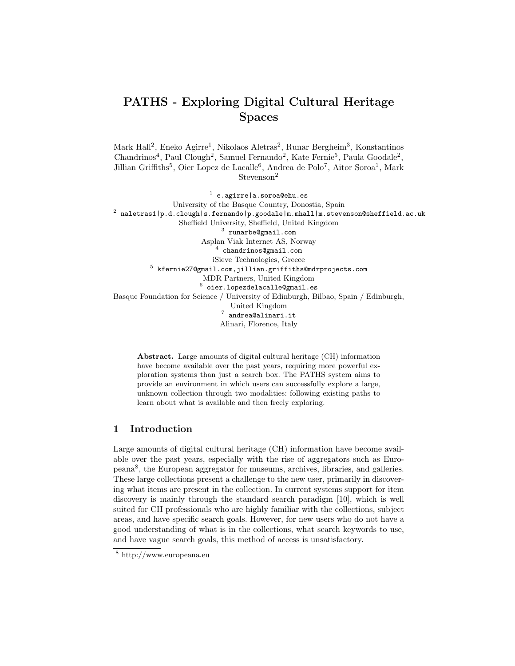# PATHS - Exploring Digital Cultural Heritage Spaces

Mark Hall<sup>2</sup>, Eneko Agirre<sup>1</sup>, Nikolaos Aletras<sup>2</sup>, Runar Bergheim<sup>3</sup>, Konstantinos Chandrinos<sup>4</sup>, Paul Clough<sup>2</sup>, Samuel Fernando<sup>2</sup>, Kate Fernie<sup>5</sup>, Paula Goodale<sup>2</sup>, Jillian Griffiths<sup>5</sup>, Oier Lopez de Lacalle<sup>6</sup>, Andrea de Polo<sup>7</sup>, Aitor Soroa<sup>1</sup>, Mark  $\rm{Stevenson^2}$ 

 $^{\rm 1}$  e.agirre|a.soroa@ehu.es University of the Basque Country, Donostia, Spain  $^2$  naletras1|p.d.clough|s.fernando|p.goodale|m.mhall|m.stevenson@sheffield.ac.uk Sheffield University, Sheffield, United Kingdom  $^3$  runarbe@gmail.com Asplan Viak Internet AS, Norway  $^4$  chandrinos@gmail.com iSieve Technologies, Greece  $^5\,$  kfernie $27$ @gmail.com,jillian.griffiths@mdrprojects.com MDR Partners, United Kingdom  $^6$  oier.lopezdelacalle@gmail.es Basque Foundation for Science / University of Edinburgh, Bilbao, Spain / Edinburgh, United Kingdom  $^7$  andrea@alinari.it Alinari, Florence, Italy

Abstract. Large amounts of digital cultural heritage (CH) information have become available over the past years, requiring more powerful exploration systems than just a search box. The PATHS system aims to provide an environment in which users can successfully explore a large, unknown collection through two modalities: following existing paths to learn about what is available and then freely exploring.

# 1 Introduction

Large amounts of digital cultural heritage (CH) information have become available over the past years, especially with the rise of aggregators such as Europeana<sup>8</sup> , the European aggregator for museums, archives, libraries, and galleries. These large collections present a challenge to the new user, primarily in discovering what items are present in the collection. In current systems support for item discovery is mainly through the standard search paradigm [10], which is well suited for CH professionals who are highly familiar with the collections, subject areas, and have specific search goals. However, for new users who do not have a good understanding of what is in the collections, what search keywords to use, and have vague search goals, this method of access is unsatisfactory.

<sup>8</sup> http://www.europeana.eu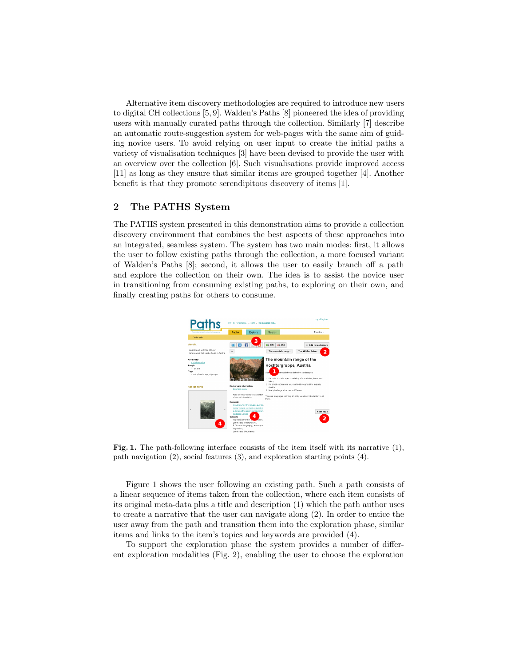Alternative item discovery methodologies are required to introduce new users to digital CH collections [5, 9]. Walden's Paths [8] pioneered the idea of providing users with manually curated paths through the collection. Similarly [7] describe an automatic route-suggestion system for web-pages with the same aim of guiding novice users. To avoid relying on user input to create the initial paths a variety of visualisation techniques [3] have been devised to provide the user with an overview over the collection [6]. Such visualisations provide improved access [11] as long as they ensure that similar items are grouped together [4]. Another benefit is that they promote serendipitous discovery of items [1].

### 2 The PATHS System

The PATHS system presented in this demonstration aims to provide a collection discovery environment that combines the best aspects of these approaches into an integrated, seamless system. The system has two main modes: first, it allows the user to follow existing paths through the collection, a more focused variant of Walden's Paths [8]; second, it allows the user to easily branch off a path and explore the collection on their own. The idea is to assist the novice user in transitioning from consuming existing paths, to exploring on their own, and finally creating paths for others to consume.



Fig. 1. The path-following interface consists of the item itself with its narrative (1), path navigation (2), social features (3), and exploration starting points (4).

Figure 1 shows the user following an existing path. Such a path consists of a linear sequence of items taken from the collection, where each item consists of its original meta-data plus a title and description (1) which the path author uses to create a narrative that the user can navigate along (2). In order to entice the user away from the path and transition them into the exploration phase, similar items and links to the item's topics and keywords are provided (4).

To support the exploration phase the system provides a number of different exploration modalities (Fig. 2), enabling the user to choose the exploration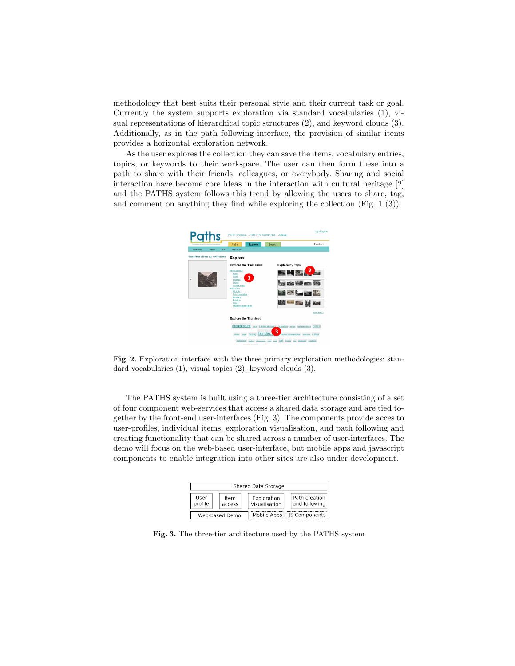methodology that best suits their personal style and their current task or goal. Currently the system supports exploration via standard vocabularies (1), visual representations of hierarchical topic structures (2), and keyword clouds (3). Additionally, as in the path following interface, the provision of similar items provides a horizontal exploration network.

As the user explores the collection they can save the items, vocabulary entries, topics, or keywords to their workspace. The user can then form these into a path to share with their friends, colleagues, or everybody. Sharing and social interaction have become core ideas in the interaction with cultural heritage [2] and the PATHS system follows this trend by allowing the users to share, tag, and comment on anything they find while exploring the collection (Fig. 1 (3)).



Fig. 2. Exploration interface with the three primary exploration methodologies: standard vocabularies (1), visual topics (2), keyword clouds (3).

The PATHS system is built using a three-tier architecture consisting of a set of four component web-services that access a shared data storage and are tied together by the front-end user-interfaces (Fig. 3). The components provide acces to user-profiles, individual items, exploration visualisation, and path following and creating functionality that can be shared across a number of user-interfaces. The demo will focus on the web-based user-interface, but mobile apps and javascript components to enable integration into other sites are also under development.

| Shared Data Storage |  |                |  |                              |                             |                                |
|---------------------|--|----------------|--|------------------------------|-----------------------------|--------------------------------|
| User<br>profile     |  | Item<br>access |  | Exploration<br>visualisation |                             | Path creation<br>and following |
| Web-based Demo      |  |                |  |                              | Mobile Apps   JS Components |                                |

Fig. 3. The three-tier architecture used by the PATHS system